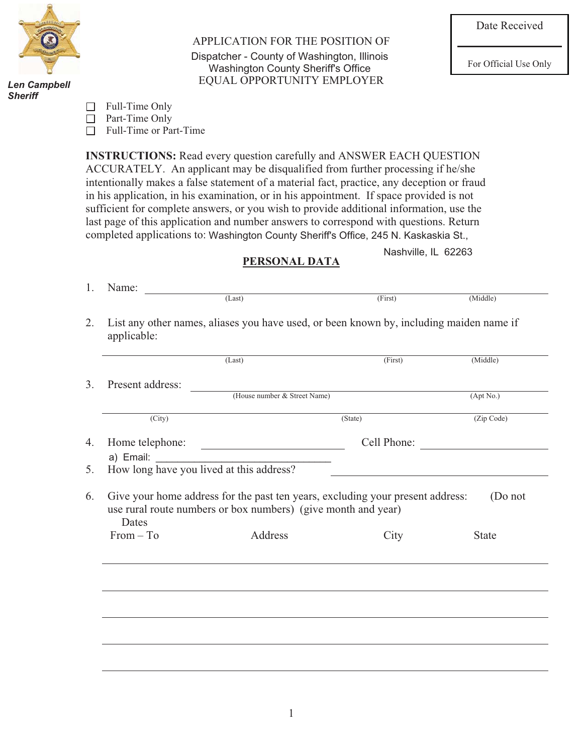

*Danny J. Bradac Len Campbell Sheriff*

APPLICATION FOR THE POSITION OF Dispatcher - County of Washington, Illinois<br>
Washington County Sheriff's Office<br>
For Official Use Only EQUAL OPPORTUNITY EMPLOYER Washington County Sheriff's Office

| Full-Time Only |
|----------------|
|----------------|

□ Part-Time Only

□ Full-Time or Part-Time

**INSTRUCTIONS:** Read every question carefully and ANSWER EACH QUESTION ACCURATELY. An applicant may be disqualified from further processing if he/she intentionally makes a false statement of a material fact, practice, any deception or fraud in his application, in his examination, or in his appointment. If space provided is not sufficient for complete answers, or you wish to provide additional information, use the last page of this application and number answers to correspond with questions. Return completed applications to: Washington County Sheriff's Office, 245 N. Kaskaskia St.,

Nashville, IL 62263

## **PERSONAL DATA**

|                     | (Last)                                                        | (First)                                                                        | (Middle)   |
|---------------------|---------------------------------------------------------------|--------------------------------------------------------------------------------|------------|
| Present address:    |                                                               |                                                                                |            |
|                     | (House number & Street Name)                                  |                                                                                | (Apt No.)  |
| $\overline{(City)}$ |                                                               | (State)                                                                        | (Zip Code) |
| Home telephone:     |                                                               | Cell Phone:                                                                    |            |
| a) Email:           |                                                               |                                                                                |            |
|                     | How long have you lived at this address?                      |                                                                                |            |
| Dates               | use rural route numbers or box numbers) (give month and year) | Give your home address for the past ten years, excluding your present address: | (Do not    |
| $From - To$         | Address                                                       | City                                                                           | State      |
|                     |                                                               |                                                                                |            |
|                     |                                                               |                                                                                |            |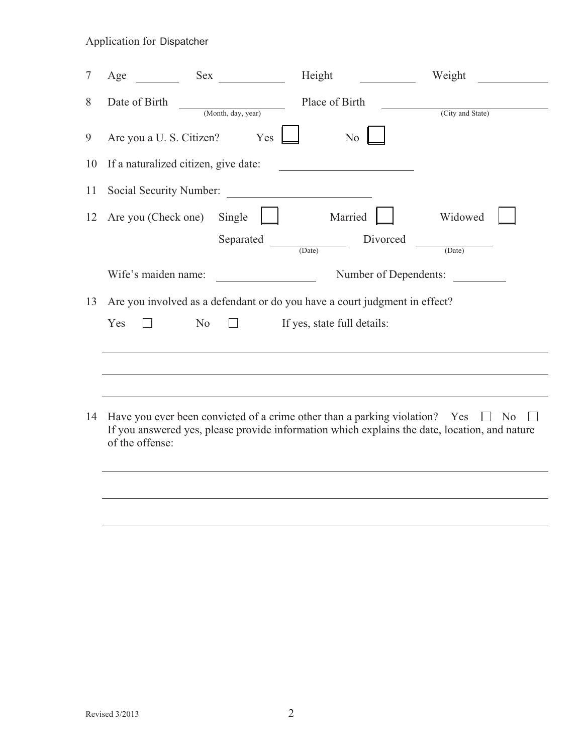| $\overline{7}$ | Age                                  |                                          | Height                                                                                                                                                                       | Weight           |
|----------------|--------------------------------------|------------------------------------------|------------------------------------------------------------------------------------------------------------------------------------------------------------------------------|------------------|
| 8              | Date of Birth                        | (Month, day, year)                       | Place of Birth                                                                                                                                                               | (City and State) |
| 9              | Are you a U. S. Citizen?             | Yes                                      | N <sub>o</sub>                                                                                                                                                               |                  |
| 10             | If a naturalized citizen, give date: |                                          |                                                                                                                                                                              |                  |
| 11             | Social Security Number:              |                                          | <u> 1989 - Andrea Britain, politik e</u> ta eta p                                                                                                                            |                  |
| 12             | Are you (Check one) Single           |                                          | Married                                                                                                                                                                      | Widowed          |
|                |                                      | $\frac{\text{Separated}}{\text{(Date)}}$ | Divorced                                                                                                                                                                     | (Date)           |
|                | Wife's maiden name:                  |                                          | Number of Dependents:                                                                                                                                                        |                  |
| 13             |                                      |                                          | Are you involved as a defendant or do you have a court judgment in effect?                                                                                                   |                  |
|                | Yes                                  | N <sub>o</sub>                           | If yes, state full details:                                                                                                                                                  |                  |
|                |                                      |                                          |                                                                                                                                                                              |                  |
|                |                                      |                                          |                                                                                                                                                                              |                  |
| 14             | of the offense:                      |                                          | Have you ever been convicted of a crime other than a parking violation? Yes<br>If you answered yes, please provide information which explains the date, location, and nature | $\Box$ No        |
|                |                                      |                                          |                                                                                                                                                                              |                  |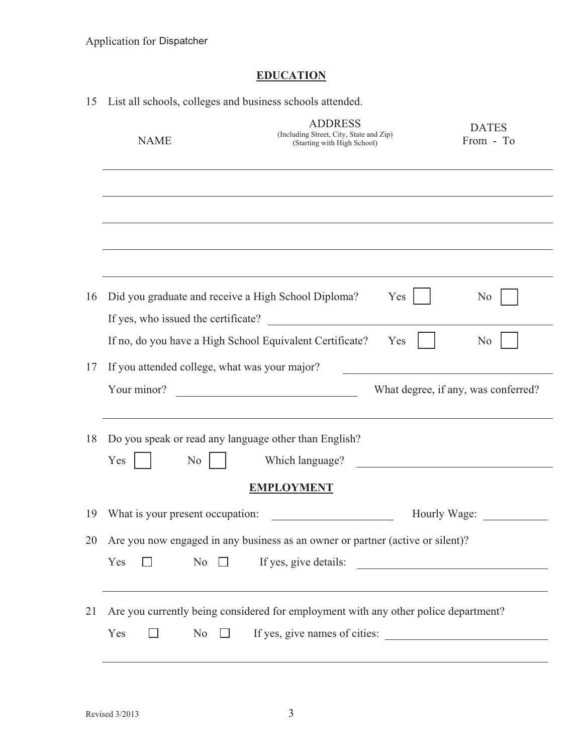# **EDUCATION**

| 15 | List all schools, colleges and business schools attended.                                  |                                                                                                                      |                                     |
|----|--------------------------------------------------------------------------------------------|----------------------------------------------------------------------------------------------------------------------|-------------------------------------|
|    | <b>NAME</b>                                                                                | <b>ADDRESS</b><br>(Including Street, City, State and Zip)<br>(Starting with High School)                             | <b>DATES</b><br>From - To           |
|    |                                                                                            |                                                                                                                      |                                     |
|    |                                                                                            |                                                                                                                      |                                     |
|    |                                                                                            |                                                                                                                      |                                     |
| 16 | Did you graduate and receive a High School Diploma?<br>If yes, who issued the certificate? | Yes                                                                                                                  | N <sub>0</sub>                      |
|    |                                                                                            | If no, do you have a High School Equivalent Certificate?<br>Yes                                                      | N <sub>0</sub>                      |
| 17 | If you attended college, what was your major?<br>Your minor?                               |                                                                                                                      | What degree, if any, was conferred? |
| 18 | Do you speak or read any language other than English?<br>Yes<br>No.                        | Which language?                                                                                                      |                                     |
|    |                                                                                            | <b>EMPLOYMENT</b>                                                                                                    |                                     |
| 19 | What is your present occupation:                                                           |                                                                                                                      | Hourly Wage:                        |
| 20 |                                                                                            | Are you now engaged in any business as an owner or partner (active or silent)?                                       |                                     |
|    | Yes<br>No                                                                                  | If yes, give details:                                                                                                |                                     |
| 21 | Yes<br>N <sub>o</sub><br>$\mathbf{1}$                                                      | Are you currently being considered for employment with any other police department?<br>If yes, give names of cities: |                                     |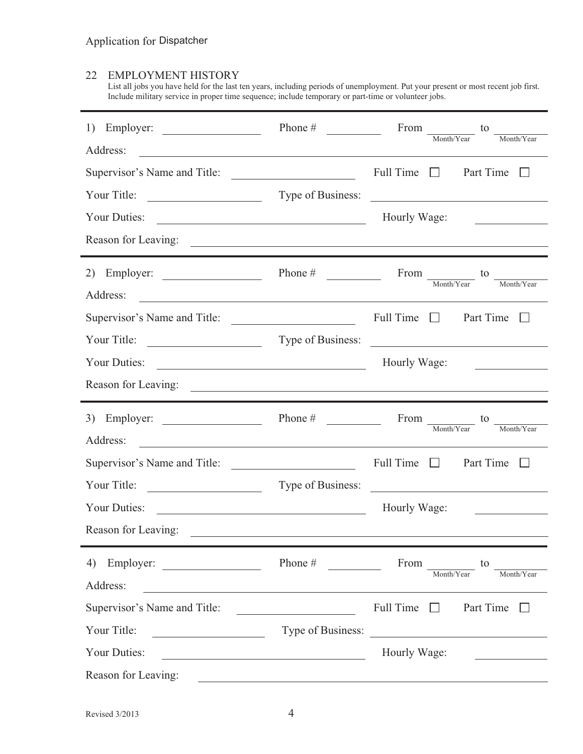### 22 EMPLOYMENT HISTORY

List all jobs you have held for the last ten years, including periods of unemployment. Put your present or most recent job first. Include military service in proper time sequence; include temporary or part-time or volunteer jobs.

| Employer:<br>1)<br>Address:                                                                                                                                        | Phone $#$                                                                                                            | From $\frac{1}{\text{Month/Year}}$ to<br>Month/Year                                                                                                                           |
|--------------------------------------------------------------------------------------------------------------------------------------------------------------------|----------------------------------------------------------------------------------------------------------------------|-------------------------------------------------------------------------------------------------------------------------------------------------------------------------------|
| <u> 1989 - Johann Stoff, Amerikaansk politiker († 1908)</u><br>Supervisor's Name and Title:                                                                        |                                                                                                                      | Full Time $\Box$<br>Part Time<br>L                                                                                                                                            |
| Your Title:<br><u> 1989 - Andrea Barbara, poeta espa</u>                                                                                                           |                                                                                                                      | Type of Business:                                                                                                                                                             |
| Your Duties:<br><u> 1989 - Johann Barn, mars eta bainar eta baina eta baina eta baina eta baina eta baina eta baina eta baina e</u>                                |                                                                                                                      | Hourly Wage:                                                                                                                                                                  |
|                                                                                                                                                                    |                                                                                                                      |                                                                                                                                                                               |
| Employer:<br>2)<br>Address:                                                                                                                                        | Phone $#$                                                                                                            | From $\frac{1}{\text{Month/Year}}$ to<br>$\underline{\hspace{1cm}}\textbf{Month/Year}$                                                                                        |
| Supervisor's Name and Title:                                                                                                                                       |                                                                                                                      | Full Time $\Box$ Part Time $\Box$                                                                                                                                             |
|                                                                                                                                                                    |                                                                                                                      | Type of Business:                                                                                                                                                             |
| Your Duties:                                                                                                                                                       |                                                                                                                      | Hourly Wage:<br>the company of the company of the company of                                                                                                                  |
|                                                                                                                                                                    |                                                                                                                      |                                                                                                                                                                               |
|                                                                                                                                                                    |                                                                                                                      |                                                                                                                                                                               |
| 3) Employer: $\qquad \qquad$                                                                                                                                       | Phone $\#$                                                                                                           | From to<br>Month/Year<br>Month/Year                                                                                                                                           |
| Address:<br><u> 1989 - Johann Stoff, deutscher Stoffen und der Stoffen und der Stoffen und der Stoffen und der Stoffen und der</u><br>Supervisor's Name and Title: |                                                                                                                      | Full Time $\Box$<br>Part Time $\Box$                                                                                                                                          |
| Your Title:                                                                                                                                                        | Type of Business:                                                                                                    | <u> 1989 - Jan Sterlinger, fransk politiker (d. 1989)</u>                                                                                                                     |
| Your Duties:<br><u> 1989 - Johann Barbara, martin amerikan basal dan berasal dan berasal dalam basal dan berasal dalam berasal da</u>                              |                                                                                                                      | Hourly Wage:<br><u> The Communication of the Communication</u>                                                                                                                |
| Reason for Leaving:                                                                                                                                                | <u> Alexandria de la contrada de la contrada de la contrada de la contrada de la contrada de la contrada de la c</u> |                                                                                                                                                                               |
| Address:                                                                                                                                                           | Phone #                                                                                                              | From<br>to<br>Month/Year<br>Month/Year                                                                                                                                        |
| <u> 1980 - Johann Stoff, deutscher Stoffen und der Stoffen und der Stoffen und der Stoffen und der Stoffen und der</u><br>Supervisor's Name and Title:             |                                                                                                                      | Full Time<br>Part Time<br>$\pm 1$                                                                                                                                             |
| Your Title:<br><u> 1980 - Johann Barbara, martin a</u>                                                                                                             | Type of Business:                                                                                                    |                                                                                                                                                                               |
| Your Duties:                                                                                                                                                       | <u> 1989 - Johann Barn, mars eta bat erroman erroman erroman erroman erroman erroman erroman erroman erroman err</u> | <u> Alexandria de la construcción de la construcción de la construcción de la construcción de la construcción de l</u><br>Hourly Wage:<br><u> 1999 - Jan Barbara Barat, p</u> |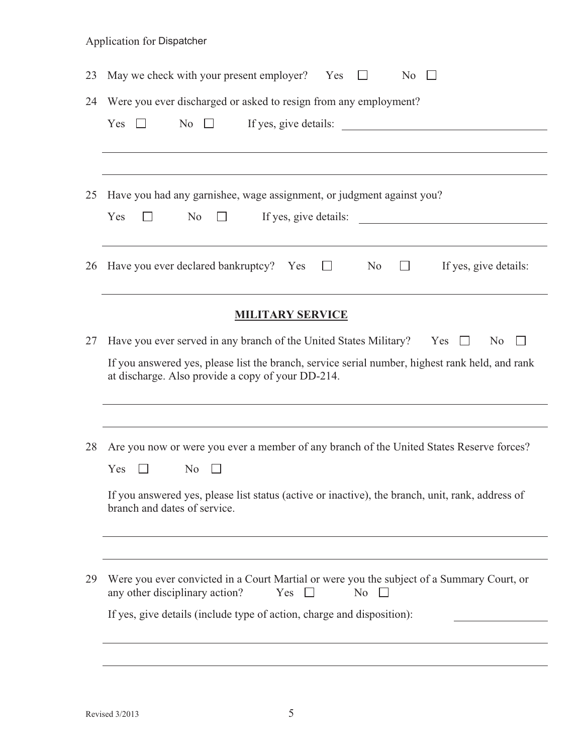|  | <b>Application for Dispatcher</b> |  |
|--|-----------------------------------|--|
|--|-----------------------------------|--|

| 23 | May we check with your present employer? Yes<br>N <sub>0</sub>                                                                                                                                                                                            |
|----|-----------------------------------------------------------------------------------------------------------------------------------------------------------------------------------------------------------------------------------------------------------|
| 24 | Were you ever discharged or asked to resign from any employment?<br>If yes, give details:<br>Yes<br>N <sub>o</sub><br>$\pm$<br>$\mathbf{L}$                                                                                                               |
| 25 | Have you had any garnishee, wage assignment, or judgment against you?<br>Yes<br>N <sub>0</sub><br>If yes, give details:<br><u> 1980 - Jan Stein Stein Stein Stein Stein Stein Stein Stein Stein Stein Stein Stein Stein Stein Stein Stein S</u>           |
| 26 | Have you ever declared bankruptcy? Yes<br>N <sub>o</sub><br>If yes, give details:<br>$\Box$<br><b>Common</b>                                                                                                                                              |
|    | <b>MILITARY SERVICE</b>                                                                                                                                                                                                                                   |
| 27 | Have you ever served in any branch of the United States Military? Yes $\square$<br>N <sub>0</sub><br>If you answered yes, please list the branch, service serial number, highest rank held, and rank<br>at discharge. Also provide a copy of your DD-214. |
| 28 | Are you now or were you ever a member of any branch of the United States Reserve forces?<br>Yes<br>N <sub>0</sub><br>If you answered yes, please list status (active or inactive), the branch, unit, rank, address of<br>branch and dates of service.     |
| 29 | Were you ever convicted in a Court Martial or were you the subject of a Summary Court, or<br>any other disciplinary action?<br>Yes $\square$<br>No.<br>If yes, give details (include type of action, charge and disposition):                             |
|    |                                                                                                                                                                                                                                                           |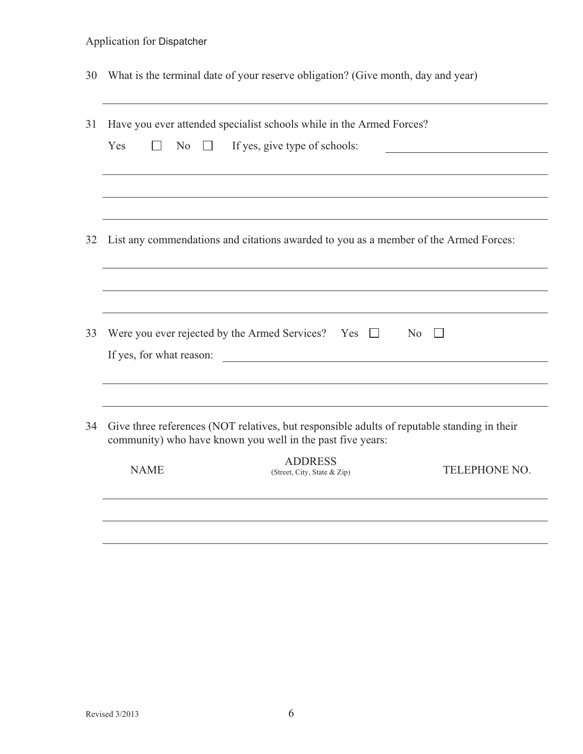| <b>Application for Dispatcher</b> |  |  |  |
|-----------------------------------|--|--|--|
|-----------------------------------|--|--|--|

30 What is the terminal date of your reserve obligation? (Give month, day and year)

| 31 |                                                      | Have you ever attended specialist schools while in the Armed Forces?                                                                                      |                |
|----|------------------------------------------------------|-----------------------------------------------------------------------------------------------------------------------------------------------------------|----------------|
|    | Yes<br>N <sub>o</sub><br>$\Box$<br>$\vert \ \ \vert$ | If yes, give type of schools:                                                                                                                             |                |
|    |                                                      |                                                                                                                                                           |                |
| 32 |                                                      | List any commendations and citations awarded to you as a member of the Armed Forces:                                                                      |                |
|    |                                                      |                                                                                                                                                           |                |
| 33 |                                                      | Were you ever rejected by the Armed Services? Yes $\square$                                                                                               | N <sub>0</sub> |
|    |                                                      | If yes, for what reason:                                                                                                                                  |                |
|    |                                                      |                                                                                                                                                           |                |
| 34 |                                                      | Give three references (NOT relatives, but responsible adults of reputable standing in their<br>community) who have known you well in the past five years: |                |
|    | <b>NAME</b>                                          | <b>ADDRESS</b><br>(Street, City, State & Zip)                                                                                                             | TELEPHONE NO.  |
|    |                                                      |                                                                                                                                                           |                |
|    |                                                      |                                                                                                                                                           |                |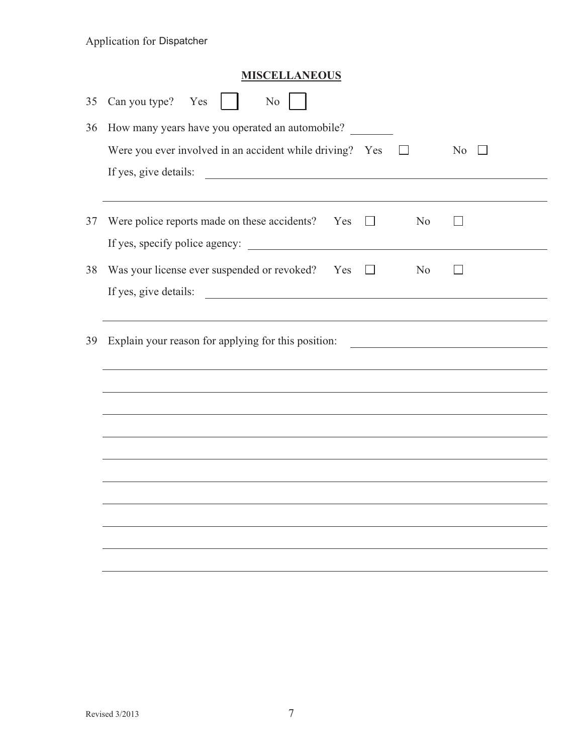|    | <b>Application for Dispatcher</b>                                                  |  |
|----|------------------------------------------------------------------------------------|--|
|    | <b>MISCELLANEOUS</b>                                                               |  |
| 35 | Can you type? Yes<br>No                                                            |  |
| 36 | How many years have you operated an automobile?                                    |  |
|    | Were you ever involved in an accident while driving? Yes<br>N <sub>0</sub>         |  |
|    | If yes, give details:                                                              |  |
|    |                                                                                    |  |
| 37 | Were police reports made on these accidents? Yes<br>N <sub>0</sub><br>$\mathbf{I}$ |  |
|    |                                                                                    |  |
| 38 | Was your license ever suspended or revoked? Yes<br>N <sub>o</sub><br>$\Box$        |  |
|    | If yes, give details:                                                              |  |
|    |                                                                                    |  |
| 39 | Explain your reason for applying for this position:                                |  |
|    |                                                                                    |  |
|    |                                                                                    |  |
|    |                                                                                    |  |
|    |                                                                                    |  |
|    |                                                                                    |  |
|    |                                                                                    |  |
|    |                                                                                    |  |
|    |                                                                                    |  |

 $\overline{\phantom{a}}$ 

 $\overline{\phantom{a}}$ 

 $\overline{\phantom{a}}$ 

 $\overline{\phantom{a}}$ 

 $\overline{\phantom{a}}$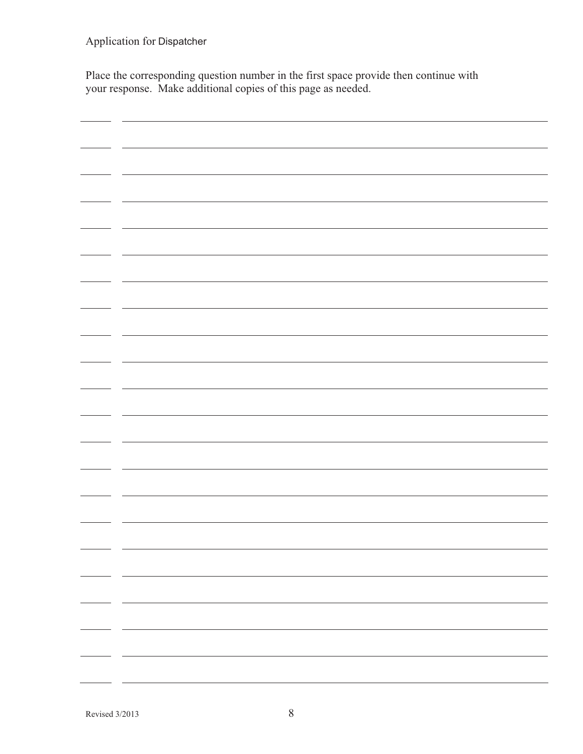Place the corresponding question number in the first space provide then continue with your response. Make additional copies of this page as needed.

| - - |  |
|-----|--|
|     |  |
|     |  |
|     |  |
|     |  |
|     |  |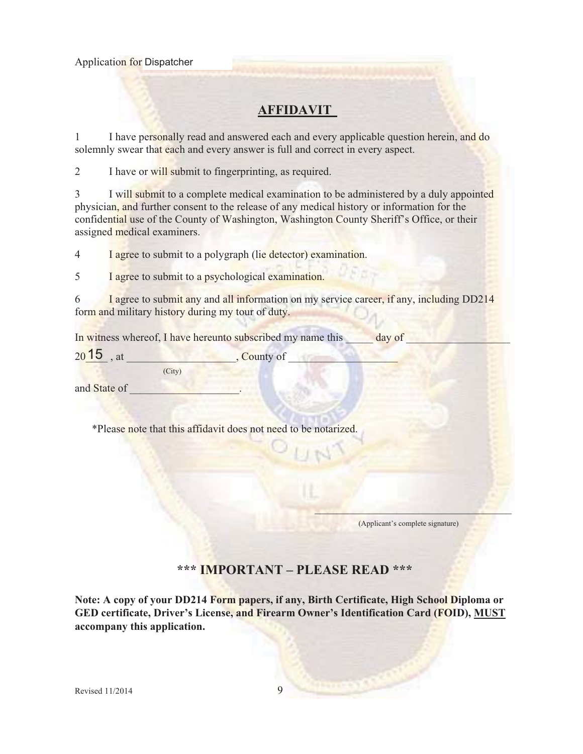# **AFFIDAVIT**

1 I have personally read and answered each and every applicable question herein, and do solemnly swear that each and every answer is full and correct in every aspect.

2 I have or will submit to fingerprinting, as required.

3 I will submit to a complete medical examination to be administered by a duly appointed physician, and further consent to the release of any medical history or information for the confidential use of the County of Washington, Washington County Sheriff's Office, or their assigned medical examiners.

4 I agree to submit to a polygraph (lie detector) examination.

5 I agree to submit to a psychological examination.

6 I agree to submit any and all information on my service career, if any, including DD214 form and military history during my tour of duty.

In witness whereof, I have hereunto subscribed my name this **a** day of

 $20.15$ , at  $\qquad \qquad \qquad$ , County of  $\qquad \qquad$ (City)

and State of

\*Please note that this affidavit does not need to be notarized.

(Applicant's complete signature)

 $\mathbf{v}$  and  $\mathbf{v}$  are all the set of  $\mathbf{v}$  and  $\mathbf{v}$ 

## **\*\*\* IMPORTANT – PLEASE READ \*\*\***

**Note: A copy of your DD214 Form papers, if any, Birth Certificate, High School Diploma or GED certificate, Driver's License, and Firearm Owner's Identification Card (FOID), MUST accompany this application.**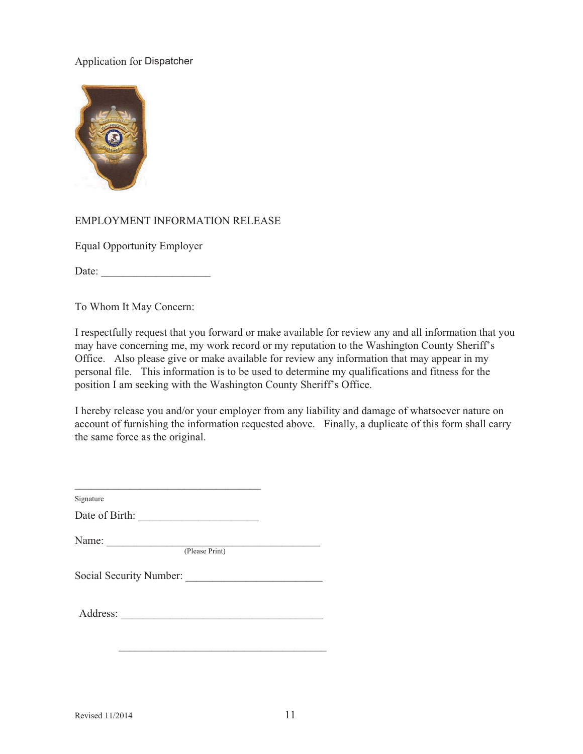

#### EMPLOYMENT INFORMATION RELEASE

Equal Opportunity Employer

Date:

To Whom It May Concern:

I respectfully request that you forward or make available for review any and all information that you may have concerning me, my work record or my reputation to the Washington County Sheriff's Office. Also please give or make available for review any information that may appear in my personal file. This information is to be used to determine my qualifications and fitness for the position I am seeking with the Washington County Sheriff's Office.

I hereby release you and/or your employer from any liability and damage of whatsoever nature on account of furnishing the information requested above. Finally, a duplicate of this form shall carry the same force as the original.

| Date of Birth:                                                                                                   |  |
|------------------------------------------------------------------------------------------------------------------|--|
|                                                                                                                  |  |
| Name: $\frac{1}{\sqrt{1-\frac{1}{2}}\sqrt{1-\frac{1}{2}}\left(\frac{1}{2}-\frac{1}{2}\right)}$<br>(Please Print) |  |
| Social Security Number:                                                                                          |  |
|                                                                                                                  |  |